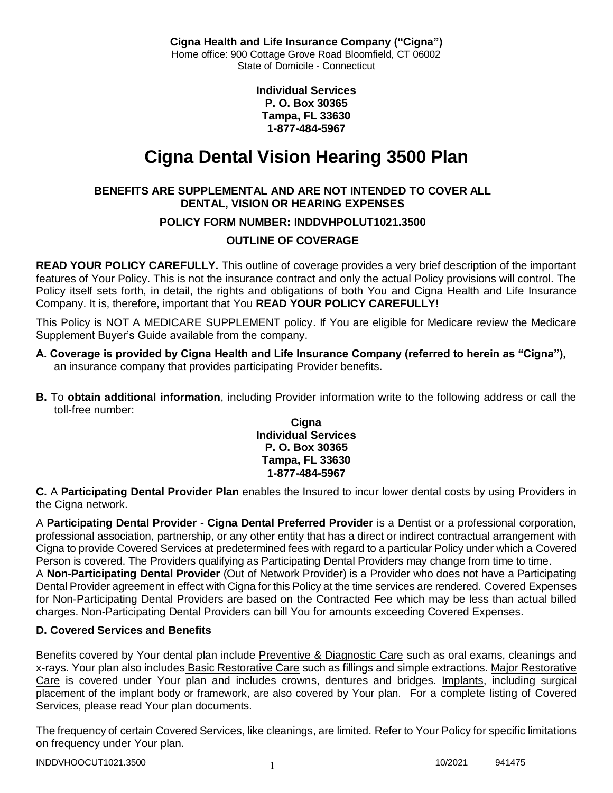**Individual Services P. O. Box 30365 Tampa, FL 33630 1-877-484-5967**

# **Cigna Dental Vision Hearing 3500 Plan**

# **BENEFITS ARE SUPPLEMENTAL AND ARE NOT INTENDED TO COVER ALL DENTAL, VISION OR HEARING EXPENSES**

# **POLICY FORM NUMBER: INDDVHPOLUT1021.3500**

# **OUTLINE OF COVERAGE**

**READ YOUR POLICY CAREFULLY.** This outline of coverage provides a very brief description of the important features of Your Policy. This is not the insurance contract and only the actual Policy provisions will control. The Policy itself sets forth, in detail, the rights and obligations of both You and Cigna Health and Life Insurance Company. It is, therefore, important that You **READ YOUR POLICY CAREFULLY!** 

This Policy is NOT A MEDICARE SUPPLEMENT policy. If You are eligible for Medicare review the Medicare Supplement Buyer's Guide available from the company.

- **A. Coverage is provided by Cigna Health and Life Insurance Company (referred to herein as "Cigna"),**  an insurance company that provides participating Provider benefits.
- **B.** To **obtain additional information**, including Provider information write to the following address or call the toll-free number:

### **Cigna Individual Services P. O. Box 30365 Tampa, FL 33630 1-877-484-5967**

**C.** A **Participating Dental Provider Plan** enables the Insured to incur lower dental costs by using Providers in the Cigna network.

A **Participating Dental Provider - Cigna Dental Preferred Provider** is a Dentist or a professional corporation, professional association, partnership, or any other entity that has a direct or indirect contractual arrangement with Cigna to provide Covered Services at predetermined fees with regard to a particular Policy under which a Covered Person is covered. The Providers qualifying as Participating Dental Providers may change from time to time. A **Non-Participating Dental Provider** (Out of Network Provider) is a Provider who does not have a Participating Dental Provider agreement in effect with Cigna for this Policy at the time services are rendered. Covered Expenses for Non-Participating Dental Providers are based on the Contracted Fee which may be less than actual billed charges. Non-Participating Dental Providers can bill You for amounts exceeding Covered Expenses.

# **D. Covered Services and Benefits**

Benefits covered by Your dental plan include Preventive & Diagnostic Care such as oral exams, cleanings and x-rays. Your plan also includes Basic Restorative Care such as fillings and simple extractions. Major Restorative Care is covered under Your plan and includes crowns, dentures and bridges. Implants, including surgical placement of the implant body or framework, are also covered by Your plan. For a complete listing of Covered Services, please read Your plan documents.

The frequency of certain Covered Services, like cleanings, are limited. Refer to Your Policy for specific limitations on frequency under Your plan.

 $\text{INDD} \text{VHOOCUT1021.3500}$  10/2021 941475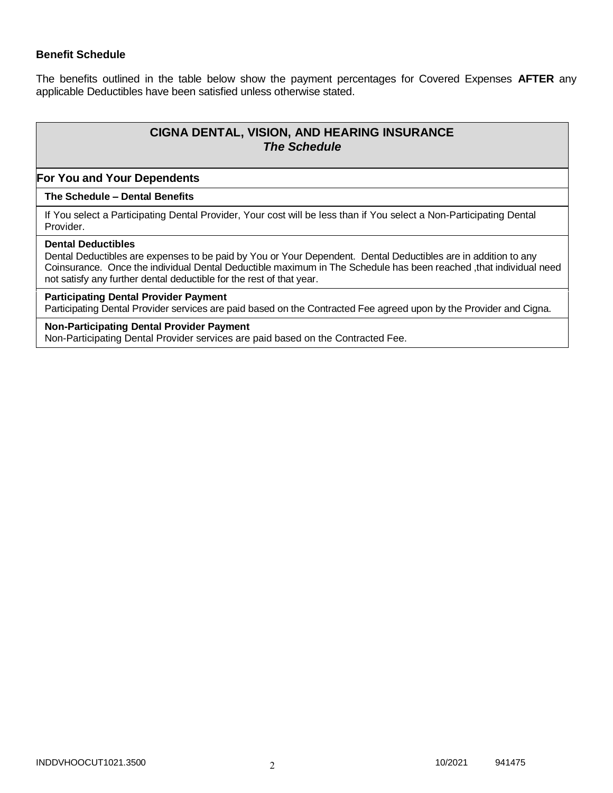### **Benefit Schedule**

The benefits outlined in the table below show the payment percentages for Covered Expenses **AFTER** any applicable Deductibles have been satisfied unless otherwise stated.

# **CIGNA DENTAL, VISION, AND HEARING INSURANCE** *The Schedule*

### **For You and Your Dependents**

### **The Schedule – Dental Benefits**

If You select a Participating Dental Provider, Your cost will be less than if You select a Non-Participating Dental Provider.

### **Dental Deductibles**

Dental Deductibles are expenses to be paid by You or Your Dependent. Dental Deductibles are in addition to any Coinsurance. Once the individual Dental Deductible maximum in The Schedule has been reached ,that individual need not satisfy any further dental deductible for the rest of that year.

### **Participating Dental Provider Payment**

Participating Dental Provider services are paid based on the Contracted Fee agreed upon by the Provider and Cigna.

### **Non-Participating Dental Provider Payment**

Non-Participating Dental Provider services are paid based on the Contracted Fee.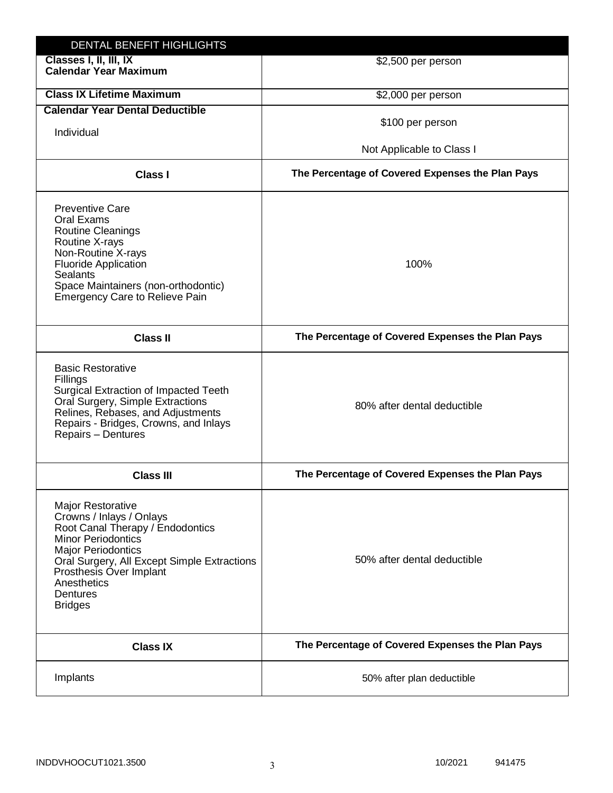| DENTAL BENEFIT HIGHLIGHTS                                                                                                                                                                                                                                                 |                                                  |
|---------------------------------------------------------------------------------------------------------------------------------------------------------------------------------------------------------------------------------------------------------------------------|--------------------------------------------------|
| Classes I, II, III, IX<br><b>Calendar Year Maximum</b>                                                                                                                                                                                                                    | \$2,500 per person                               |
| <b>Class IX Lifetime Maximum</b>                                                                                                                                                                                                                                          | \$2,000 per person                               |
| <b>Calendar Year Dental Deductible</b>                                                                                                                                                                                                                                    |                                                  |
| Individual                                                                                                                                                                                                                                                                | \$100 per person                                 |
|                                                                                                                                                                                                                                                                           | Not Applicable to Class I                        |
| <b>Class I</b>                                                                                                                                                                                                                                                            | The Percentage of Covered Expenses the Plan Pays |
| <b>Preventive Care</b><br>Oral Exams<br><b>Routine Cleanings</b><br>Routine X-rays<br>Non-Routine X-rays<br><b>Fluoride Application</b><br><b>Sealants</b><br>Space Maintainers (non-orthodontic)<br><b>Emergency Care to Relieve Pain</b>                                | 100%                                             |
| <b>Class II</b>                                                                                                                                                                                                                                                           | The Percentage of Covered Expenses the Plan Pays |
| <b>Basic Restorative</b><br>Fillings<br>Surgical Extraction of Impacted Teeth<br>Oral Surgery, Simple Extractions<br>Relines, Rebases, and Adjustments<br>Repairs - Bridges, Crowns, and Inlays<br>Repairs - Dentures                                                     | 80% after dental deductible                      |
| <b>Class III</b>                                                                                                                                                                                                                                                          | The Percentage of Covered Expenses the Plan Pays |
| <b>Major Restorative</b><br>Crowns / Inlays / Onlays<br>Root Canal Therapy / Endodontics<br><b>Minor Periodontics</b><br><b>Major Periodontics</b><br>Oral Surgery, All Except Simple Extractions<br>Prosthesis Over Implant<br>Anesthetics<br>Dentures<br><b>Bridges</b> | 50% after dental deductible                      |
| <b>Class IX</b>                                                                                                                                                                                                                                                           | The Percentage of Covered Expenses the Plan Pays |
| Implants                                                                                                                                                                                                                                                                  | 50% after plan deductible                        |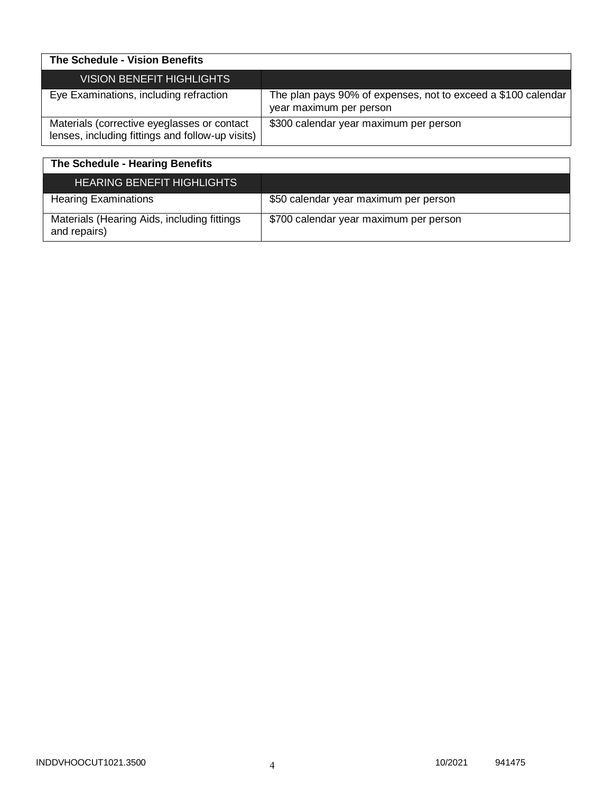| The Schedule - Vision Benefits                                                                  |                                                                                          |
|-------------------------------------------------------------------------------------------------|------------------------------------------------------------------------------------------|
| VISION BENEFIT HIGHLIGHTS                                                                       |                                                                                          |
| Eye Examinations, including refraction                                                          | The plan pays 90% of expenses, not to exceed a \$100 calendar<br>year maximum per person |
| Materials (corrective eyeglasses or contact<br>lenses, including fittings and follow-up visits) | \$300 calendar year maximum per person                                                   |

| The Schedule - Hearing Benefits                             |                                        |
|-------------------------------------------------------------|----------------------------------------|
| <b>HEARING BENEFIT HIGHLIGHTS</b>                           |                                        |
| <b>Hearing Examinations</b>                                 | \$50 calendar year maximum per person  |
| Materials (Hearing Aids, including fittings<br>and repairs) | \$700 calendar year maximum per person |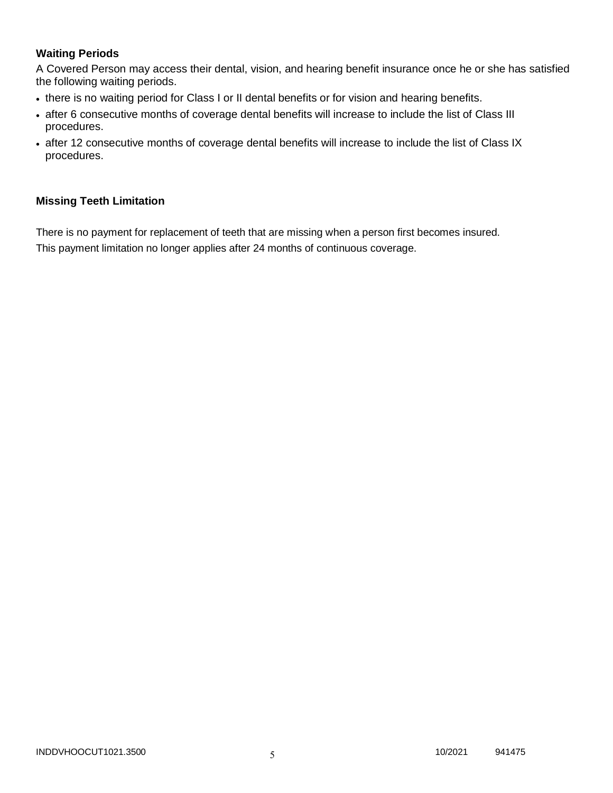# **Waiting Periods**

A Covered Person may access their dental, vision, and hearing benefit insurance once he or she has satisfied the following waiting periods.

- there is no waiting period for Class I or II dental benefits or for vision and hearing benefits.
- after 6 consecutive months of coverage dental benefits will increase to include the list of Class III procedures.
- after 12 consecutive months of coverage dental benefits will increase to include the list of Class IX procedures.

### **Missing Teeth Limitation**

There is no payment for replacement of teeth that are missing when a person first becomes insured. This payment limitation no longer applies after 24 months of continuous coverage.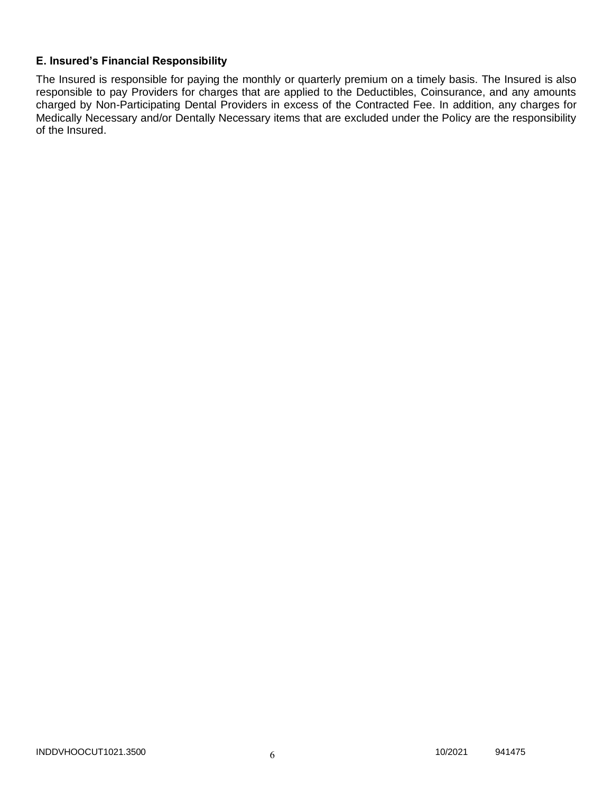# **E. Insured's Financial Responsibility**

The Insured is responsible for paying the monthly or quarterly premium on a timely basis. The Insured is also responsible to pay Providers for charges that are applied to the Deductibles, Coinsurance, and any amounts charged by Non-Participating Dental Providers in excess of the Contracted Fee. In addition, any charges for Medically Necessary and/or Dentally Necessary items that are excluded under the Policy are the responsibility of the Insured.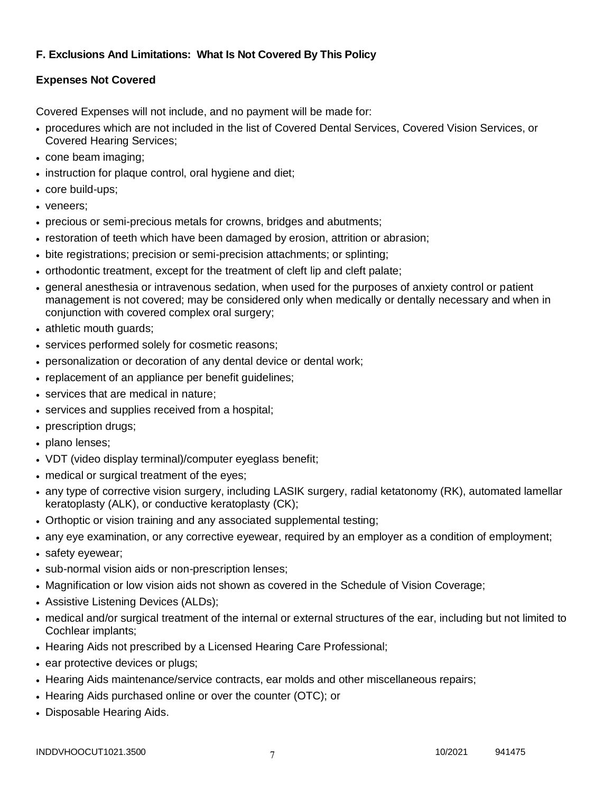# **F. Exclusions And Limitations: What Is Not Covered By This Policy**

# **Expenses Not Covered**

Covered Expenses will not include, and no payment will be made for:

- procedures which are not included in the list of Covered Dental Services, Covered Vision Services, or Covered Hearing Services;
- cone beam imaging;
- instruction for plaque control, oral hygiene and diet;
- core build-ups;
- veneers:
- precious or semi-precious metals for crowns, bridges and abutments;
- restoration of teeth which have been damaged by erosion, attrition or abrasion;
- bite registrations; precision or semi-precision attachments; or splinting;
- orthodontic treatment, except for the treatment of cleft lip and cleft palate;
- general anesthesia or intravenous sedation, when used for the purposes of anxiety control or patient management is not covered; may be considered only when medically or dentally necessary and when in conjunction with covered complex oral surgery;
- athletic mouth guards;
- services performed solely for cosmetic reasons;
- personalization or decoration of any dental device or dental work;
- replacement of an appliance per benefit guidelines;
- services that are medical in nature:
- services and supplies received from a hospital;
- prescription drugs;
- plano lenses:
- VDT (video display terminal)/computer eyeglass benefit;
- medical or surgical treatment of the eyes;
- any type of corrective vision surgery, including LASIK surgery, radial ketatonomy (RK), automated lamellar keratoplasty (ALK), or conductive keratoplasty (CK);
- Orthoptic or vision training and any associated supplemental testing;
- any eye examination, or any corrective eyewear, required by an employer as a condition of employment;
- safety eyewear;
- sub-normal vision aids or non-prescription lenses;
- Magnification or low vision aids not shown as covered in the Schedule of Vision Coverage;
- Assistive Listening Devices (ALDs);
- medical and/or surgical treatment of the internal or external structures of the ear, including but not limited to Cochlear implants;
- Hearing Aids not prescribed by a Licensed Hearing Care Professional;
- ear protective devices or plugs;
- Hearing Aids maintenance/service contracts, ear molds and other miscellaneous repairs;
- Hearing Aids purchased online or over the counter (OTC); or
- Disposable Hearing Aids.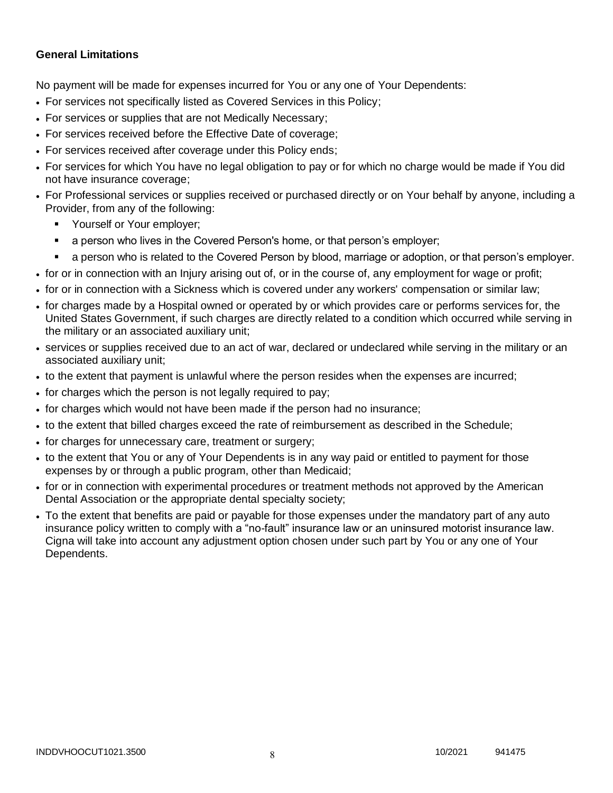# **General Limitations**

No payment will be made for expenses incurred for You or any one of Your Dependents:

- For services not specifically listed as Covered Services in this Policy;
- For services or supplies that are not Medically Necessary;
- For services received before the Effective Date of coverage;
- For services received after coverage under this Policy ends;
- For services for which You have no legal obligation to pay or for which no charge would be made if You did not have insurance coverage;
- For Professional services or supplies received or purchased directly or on Your behalf by anyone, including a Provider, from any of the following:
	- **Yourself or Your employer;**
	- a person who lives in the Covered Person's home, or that person's employer;
	- a person who is related to the Covered Person by blood, marriage or adoption, or that person's employer.
- for or in connection with an Injury arising out of, or in the course of, any employment for wage or profit;
- for or in connection with a Sickness which is covered under any workers' compensation or similar law;
- for charges made by a Hospital owned or operated by or which provides care or performs services for, the United States Government, if such charges are directly related to a condition which occurred while serving in the military or an associated auxiliary unit;
- services or supplies received due to an act of war, declared or undeclared while serving in the military or an associated auxiliary unit;
- to the extent that payment is unlawful where the person resides when the expenses are incurred;
- for charges which the person is not legally required to pay;
- for charges which would not have been made if the person had no insurance;
- to the extent that billed charges exceed the rate of reimbursement as described in the Schedule;
- for charges for unnecessary care, treatment or surgery;
- to the extent that You or any of Your Dependents is in any way paid or entitled to payment for those expenses by or through a public program, other than Medicaid;
- for or in connection with experimental procedures or treatment methods not approved by the American Dental Association or the appropriate dental specialty society;
- To the extent that benefits are paid or payable for those expenses under the mandatory part of any auto insurance policy written to comply with a "no-fault" insurance law or an uninsured motorist insurance law. Cigna will take into account any adjustment option chosen under such part by You or any one of Your Dependents.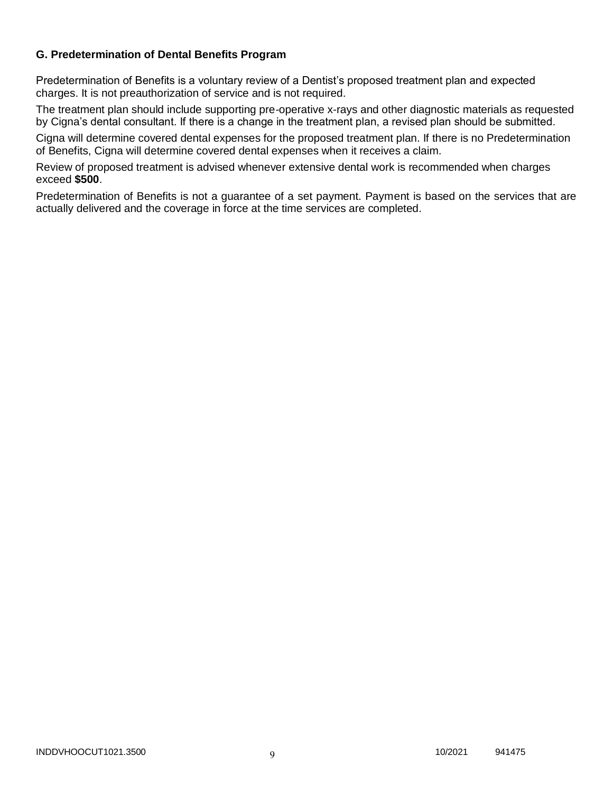# **G. Predetermination of Dental Benefits Program**

Predetermination of Benefits is a voluntary review of a Dentist's proposed treatment plan and expected charges. It is not preauthorization of service and is not required.

The treatment plan should include supporting pre-operative x-rays and other diagnostic materials as requested by Cigna's dental consultant. If there is a change in the treatment plan, a revised plan should be submitted.

Cigna will determine covered dental expenses for the proposed treatment plan. If there is no Predetermination of Benefits, Cigna will determine covered dental expenses when it receives a claim.

Review of proposed treatment is advised whenever extensive dental work is recommended when charges exceed **\$500**.

Predetermination of Benefits is not a guarantee of a set payment. Payment is based on the services that are actually delivered and the coverage in force at the time services are completed.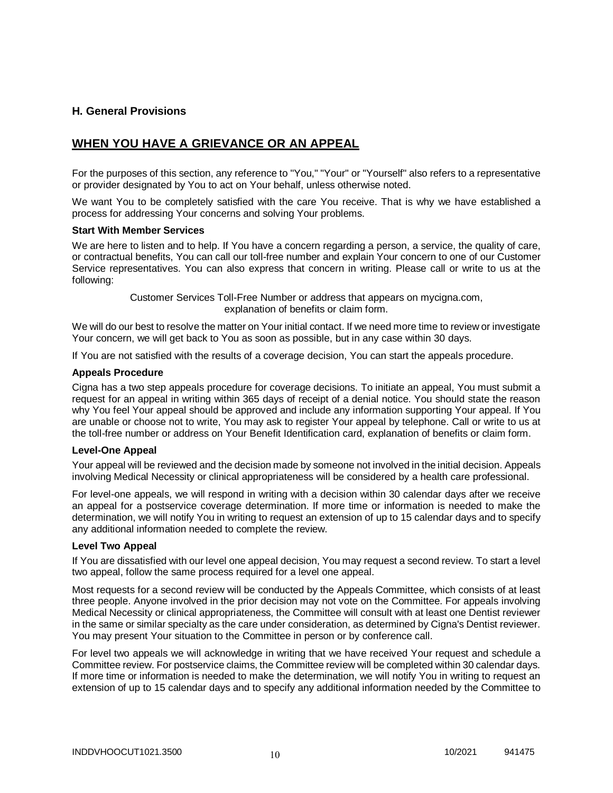### **H. General Provisions**

# **WHEN YOU HAVE A GRIEVANCE OR AN APPEAL**

For the purposes of this section, any reference to "You," "Your" or "Yourself" also refers to a representative or provider designated by You to act on Your behalf, unless otherwise noted.

We want You to be completely satisfied with the care You receive. That is why we have established a process for addressing Your concerns and solving Your problems.

### **Start With Member Services**

We are here to listen and to help. If You have a concern regarding a person, a service, the quality of care, or contractual benefits, You can call our toll-free number and explain Your concern to one of our Customer Service representatives. You can also express that concern in writing. Please call or write to us at the following:

> Customer Services Toll-Free Number or address that appears on mycigna.com, explanation of benefits or claim form.

We will do our best to resolve the matter on Your initial contact. If we need more time to review or investigate Your concern, we will get back to You as soon as possible, but in any case within 30 days.

If You are not satisfied with the results of a coverage decision, You can start the appeals procedure.

### **Appeals Procedure**

Cigna has a two step appeals procedure for coverage decisions. To initiate an appeal, You must submit a request for an appeal in writing within 365 days of receipt of a denial notice. You should state the reason why You feel Your appeal should be approved and include any information supporting Your appeal. If You are unable or choose not to write, You may ask to register Your appeal by telephone. Call or write to us at the toll-free number or address on Your Benefit Identification card, explanation of benefits or claim form.

### **Level-One Appeal**

Your appeal will be reviewed and the decision made by someone not involved in the initial decision. Appeals involving Medical Necessity or clinical appropriateness will be considered by a health care professional.

For level-one appeals, we will respond in writing with a decision within 30 calendar days after we receive an appeal for a postservice coverage determination. If more time or information is needed to make the determination, we will notify You in writing to request an extension of up to 15 calendar days and to specify any additional information needed to complete the review.

### **Level Two Appeal**

If You are dissatisfied with our level one appeal decision, You may request a second review. To start a level two appeal, follow the same process required for a level one appeal.

Most requests for a second review will be conducted by the Appeals Committee, which consists of at least three people. Anyone involved in the prior decision may not vote on the Committee. For appeals involving Medical Necessity or clinical appropriateness, the Committee will consult with at least one Dentist reviewer in the same or similar specialty as the care under consideration, as determined by Cigna's Dentist reviewer. You may present Your situation to the Committee in person or by conference call.

For level two appeals we will acknowledge in writing that we have received Your request and schedule a Committee review. For postservice claims, the Committee review will be completed within 30 calendar days. If more time or information is needed to make the determination, we will notify You in writing to request an extension of up to 15 calendar days and to specify any additional information needed by the Committee to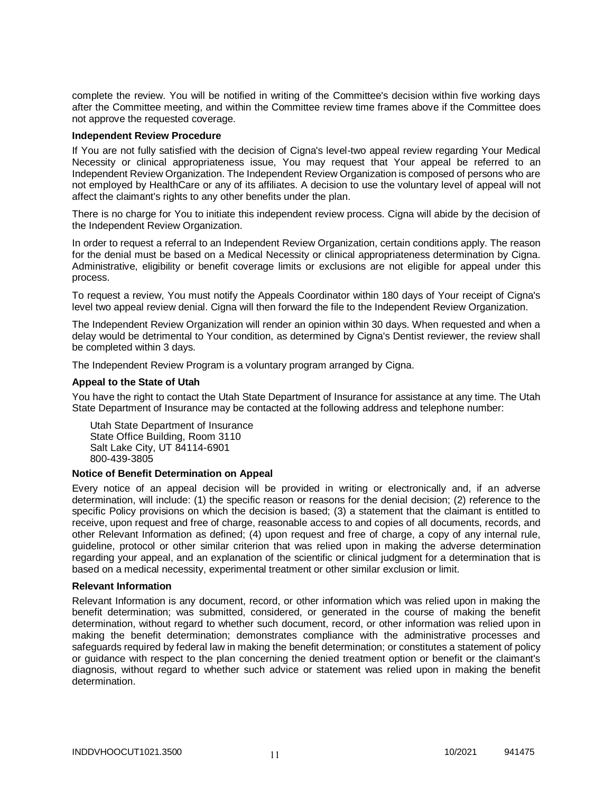complete the review. You will be notified in writing of the Committee's decision within five working days after the Committee meeting, and within the Committee review time frames above if the Committee does not approve the requested coverage.

### **Independent Review Procedure**

If You are not fully satisfied with the decision of Cigna's level-two appeal review regarding Your Medical Necessity or clinical appropriateness issue, You may request that Your appeal be referred to an Independent Review Organization. The Independent Review Organization is composed of persons who are not employed by HealthCare or any of its affiliates. A decision to use the voluntary level of appeal will not affect the claimant's rights to any other benefits under the plan.

There is no charge for You to initiate this independent review process. Cigna will abide by the decision of the Independent Review Organization.

In order to request a referral to an Independent Review Organization, certain conditions apply. The reason for the denial must be based on a Medical Necessity or clinical appropriateness determination by Cigna. Administrative, eligibility or benefit coverage limits or exclusions are not eligible for appeal under this process.

To request a review, You must notify the Appeals Coordinator within 180 days of Your receipt of Cigna's level two appeal review denial. Cigna will then forward the file to the Independent Review Organization.

The Independent Review Organization will render an opinion within 30 days. When requested and when a delay would be detrimental to Your condition, as determined by Cigna's Dentist reviewer, the review shall be completed within 3 days.

The Independent Review Program is a voluntary program arranged by Cigna.

#### **Appeal to the State of Utah**

You have the right to contact the Utah State Department of Insurance for assistance at any time. The Utah State Department of Insurance may be contacted at the following address and telephone number:

Utah State Department of Insurance State Office Building, Room 3110 Salt Lake City, UT 84114-6901 800-439-3805

### **Notice of Benefit Determination on Appeal**

Every notice of an appeal decision will be provided in writing or electronically and, if an adverse determination, will include: (1) the specific reason or reasons for the denial decision; (2) reference to the specific Policy provisions on which the decision is based; (3) a statement that the claimant is entitled to receive, upon request and free of charge, reasonable access to and copies of all documents, records, and other Relevant Information as defined; (4) upon request and free of charge, a copy of any internal rule, guideline, protocol or other similar criterion that was relied upon in making the adverse determination regarding your appeal, and an explanation of the scientific or clinical judgment for a determination that is based on a medical necessity, experimental treatment or other similar exclusion or limit.

#### **Relevant Information**

Relevant Information is any document, record, or other information which was relied upon in making the benefit determination; was submitted, considered, or generated in the course of making the benefit determination, without regard to whether such document, record, or other information was relied upon in making the benefit determination; demonstrates compliance with the administrative processes and safeguards required by federal law in making the benefit determination; or constitutes a statement of policy or guidance with respect to the plan concerning the denied treatment option or benefit or the claimant's diagnosis, without regard to whether such advice or statement was relied upon in making the benefit determination.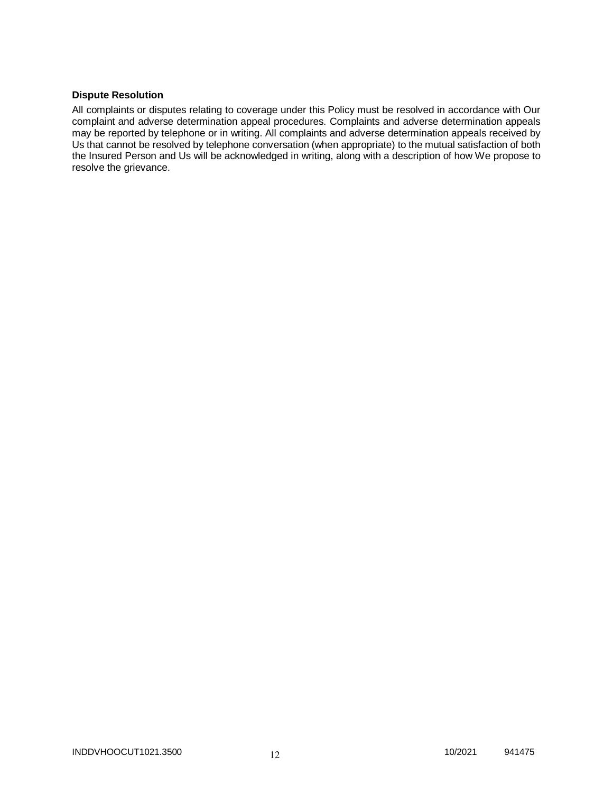### **Dispute Resolution**

All complaints or disputes relating to coverage under this Policy must be resolved in accordance with Our complaint and adverse determination appeal procedures. Complaints and adverse determination appeals may be reported by telephone or in writing. All complaints and adverse determination appeals received by Us that cannot be resolved by telephone conversation (when appropriate) to the mutual satisfaction of both the Insured Person and Us will be acknowledged in writing, along with a description of how We propose to resolve the grievance.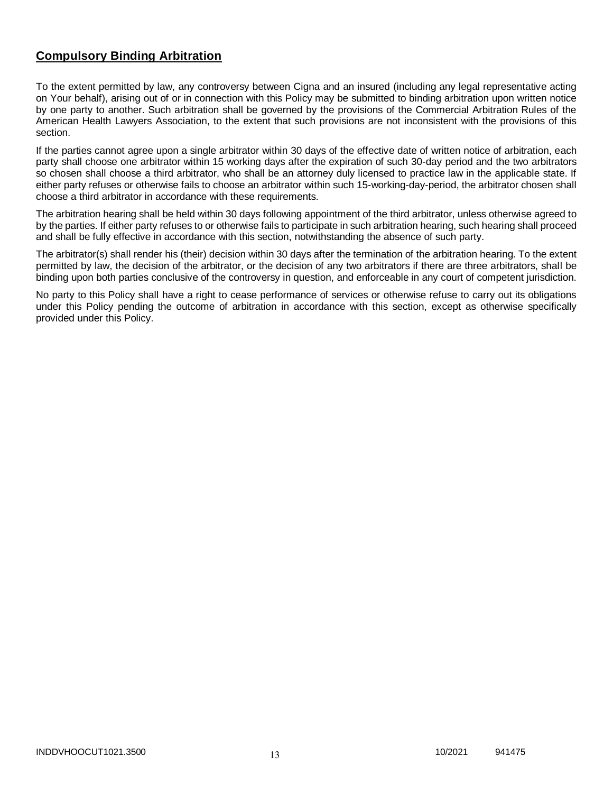# **Compulsory Binding Arbitration**

To the extent permitted by law, any controversy between Cigna and an insured (including any legal representative acting on Your behalf), arising out of or in connection with this Policy may be submitted to binding arbitration upon written notice by one party to another. Such arbitration shall be governed by the provisions of the Commercial Arbitration Rules of the American Health Lawyers Association, to the extent that such provisions are not inconsistent with the provisions of this section.

If the parties cannot agree upon a single arbitrator within 30 days of the effective date of written notice of arbitration, each party shall choose one arbitrator within 15 working days after the expiration of such 30-day period and the two arbitrators so chosen shall choose a third arbitrator, who shall be an attorney duly licensed to practice law in the applicable state. If either party refuses or otherwise fails to choose an arbitrator within such 15-working-day-period, the arbitrator chosen shall choose a third arbitrator in accordance with these requirements.

The arbitration hearing shall be held within 30 days following appointment of the third arbitrator, unless otherwise agreed to by the parties. If either party refuses to or otherwise fails to participate in such arbitration hearing, such hearing shall proceed and shall be fully effective in accordance with this section, notwithstanding the absence of such party.

The arbitrator(s) shall render his (their) decision within 30 days after the termination of the arbitration hearing. To the extent permitted by law, the decision of the arbitrator, or the decision of any two arbitrators if there are three arbitrators, shall be binding upon both parties conclusive of the controversy in question, and enforceable in any court of competent jurisdiction.

No party to this Policy shall have a right to cease performance of services or otherwise refuse to carry out its obligations under this Policy pending the outcome of arbitration in accordance with this section, except as otherwise specifically provided under this Policy.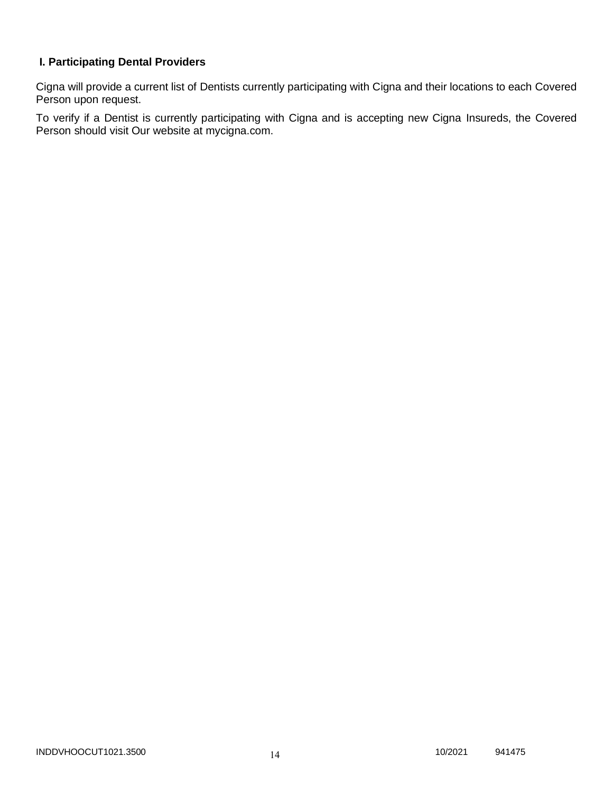# **I. Participating Dental Providers**

Cigna will provide a current list of Dentists currently participating with Cigna and their locations to each Covered Person upon request.

To verify if a Dentist is currently participating with Cigna and is accepting new Cigna Insureds, the Covered Person should visit Our website at mycigna.com.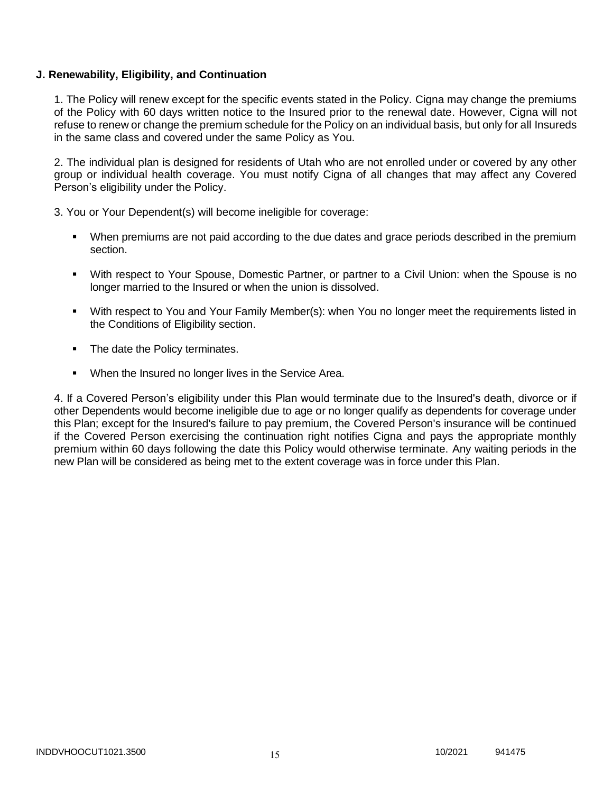### **J. Renewability, Eligibility, and Continuation**

1. The Policy will renew except for the specific events stated in the Policy. Cigna may change the premiums of the Policy with 60 days written notice to the Insured prior to the renewal date. However, Cigna will not refuse to renew or change the premium schedule for the Policy on an individual basis, but only for all Insureds in the same class and covered under the same Policy as You.

2. The individual plan is designed for residents of Utah who are not enrolled under or covered by any other group or individual health coverage. You must notify Cigna of all changes that may affect any Covered Person's eligibility under the Policy.

3. You or Your Dependent(s) will become ineligible for coverage:

- When premiums are not paid according to the due dates and grace periods described in the premium section.
- With respect to Your Spouse, Domestic Partner, or partner to a Civil Union: when the Spouse is no longer married to the Insured or when the union is dissolved.
- With respect to You and Your Family Member(s): when You no longer meet the requirements listed in the Conditions of Eligibility section.
- The date the Policy terminates.
- When the Insured no longer lives in the Service Area.

4. If a Covered Person's eligibility under this Plan would terminate due to the Insured's death, divorce or if other Dependents would become ineligible due to age or no longer qualify as dependents for coverage under this Plan; except for the Insured's failure to pay premium, the Covered Person's insurance will be continued if the Covered Person exercising the continuation right notifies Cigna and pays the appropriate monthly premium within 60 days following the date this Policy would otherwise terminate. Any waiting periods in the new Plan will be considered as being met to the extent coverage was in force under this Plan.